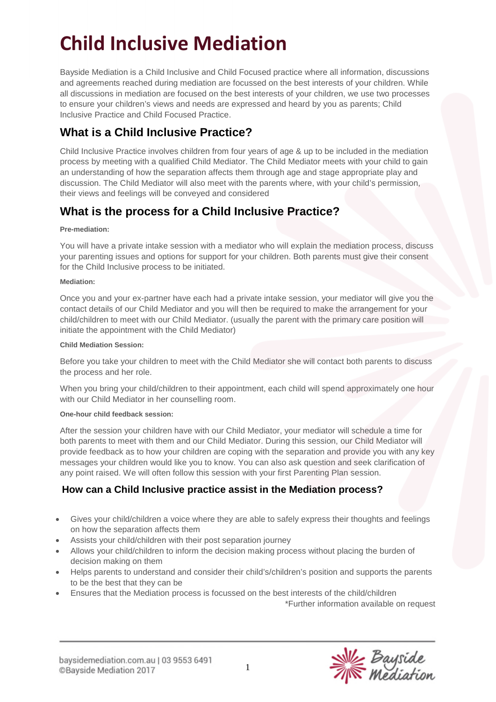# **Child Inclusive Mediation**

Bayside Mediation is a Child Inclusive and Child Focused practice where all information, discussions and agreements reached during mediation are focussed on the best interests of your children. While all discussions in mediation are focused on the best interests of your children, we use two processes to ensure your children's views and needs are expressed and heard by you as parents; Child Inclusive Practice and Child Focused Practice.

# **What is a Child Inclusive Practice?**

Child Inclusive Practice involves children from four years of age & up to be included in the mediation process by meeting with a qualified Child Mediator. The Child Mediator meets with your child to gain an understanding of how the separation affects them through age and stage appropriate play and discussion. The Child Mediator will also meet with the parents where, with your child's permission, their views and feelings will be conveyed and considered

# **What is the process for a Child Inclusive Practice?**

### **Pre-mediation:**

You will have a private intake session with a mediator who will explain the mediation process, discuss your parenting issues and options for support for your children. Both parents must give their consent for the Child Inclusive process to be initiated.

### **Mediation:**

Once you and your ex-partner have each had a private intake session, your mediator will give you the contact details of our Child Mediator and you will then be required to make the arrangement for your child/children to meet with our Child Mediator. (usually the parent with the primary care position will initiate the appointment with the Child Mediator)

### **Child Mediation Session:**

Before you take your children to meet with the Child Mediator she will contact both parents to discuss the process and her role.

When you bring your child/children to their appointment, each child will spend approximately one hour with our Child Mediator in her counselling room.

### **One-hour child feedback session:**

After the session your children have with our Child Mediator, your mediator will schedule a time for both parents to meet with them and our Child Mediator. During this session, our Child Mediator will provide feedback as to how your children are coping with the separation and provide you with any key messages your children would like you to know. You can also ask question and seek clarification of any point raised. We will often follow this session with your first Parenting Plan session.

### **How can a Child Inclusive practice assist in the Mediation process?**

- Gives your child/children a voice where they are able to safely express their thoughts and feelings on how the separation affects them
- Assists your child/children with their post separation journey
- Allows your child/children to inform the decision making process without placing the burden of decision making on them
- Helps parents to understand and consider their child's/children's position and supports the parents to be the best that they can be
- Ensures that the Mediation process is focussed on the best interests of the child/children

\*Further information available on request